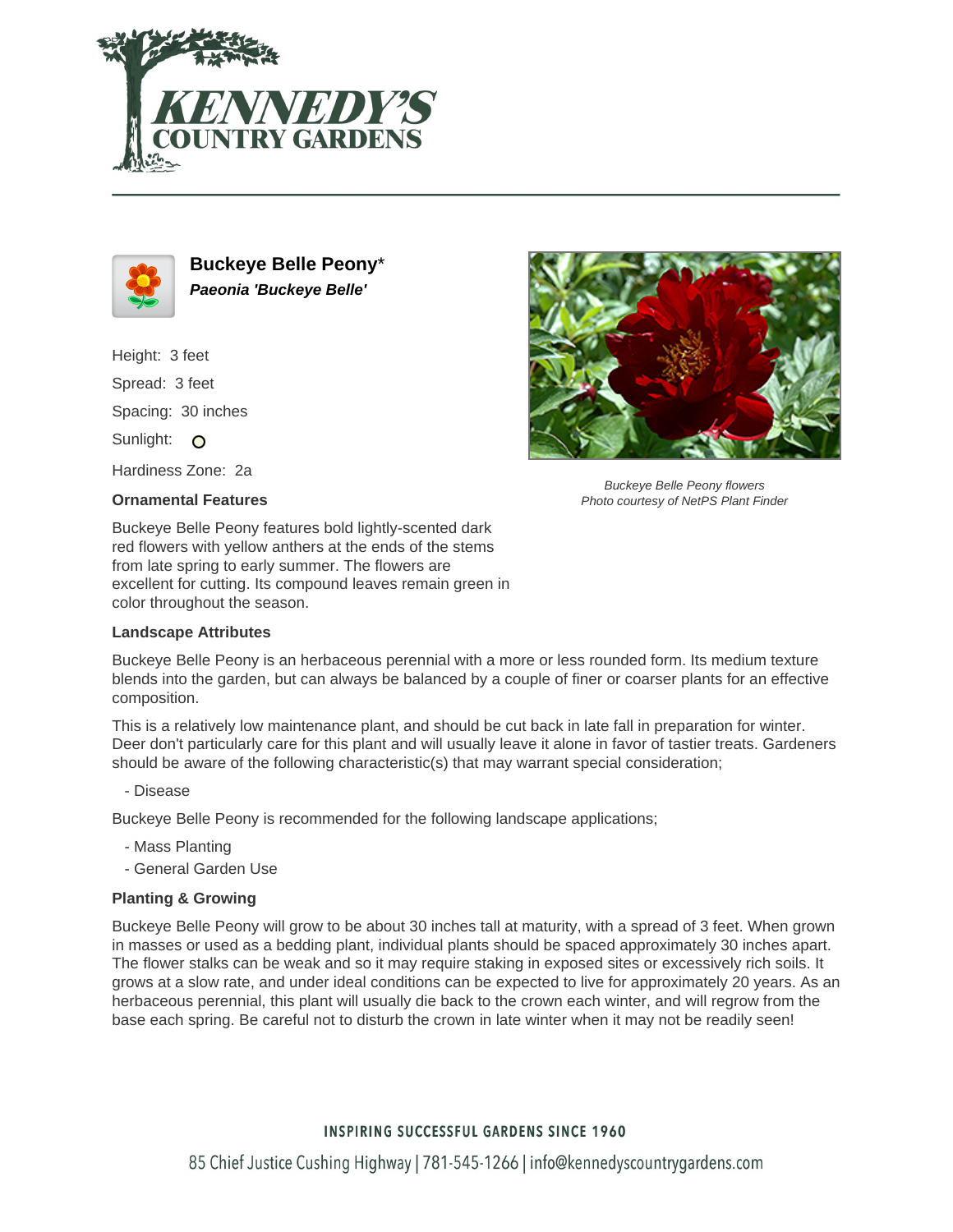



**Buckeye Belle Peony**\* **Paeonia 'Buckeye Belle'**

Height: 3 feet Spread: 3 feet Spacing: 30 inches Sunlight: O Hardiness Zone: 2a

## **Ornamental Features**

Buckeye Belle Peony features bold lightly-scented dark red flowers with yellow anthers at the ends of the stems from late spring to early summer. The flowers are excellent for cutting. Its compound leaves remain green in color throughout the season.

## **Landscape Attributes**

Buckeye Belle Peony flowers Photo courtesy of NetPS Plant Finder

Buckeye Belle Peony is an herbaceous perennial with a more or less rounded form. Its medium texture blends into the garden, but can always be balanced by a couple of finer or coarser plants for an effective composition.

This is a relatively low maintenance plant, and should be cut back in late fall in preparation for winter. Deer don't particularly care for this plant and will usually leave it alone in favor of tastier treats. Gardeners should be aware of the following characteristic(s) that may warrant special consideration;

- Disease

Buckeye Belle Peony is recommended for the following landscape applications;

- Mass Planting
- General Garden Use

## **Planting & Growing**

Buckeye Belle Peony will grow to be about 30 inches tall at maturity, with a spread of 3 feet. When grown in masses or used as a bedding plant, individual plants should be spaced approximately 30 inches apart. The flower stalks can be weak and so it may require staking in exposed sites or excessively rich soils. It grows at a slow rate, and under ideal conditions can be expected to live for approximately 20 years. As an herbaceous perennial, this plant will usually die back to the crown each winter, and will regrow from the base each spring. Be careful not to disturb the crown in late winter when it may not be readily seen!

## **INSPIRING SUCCESSFUL GARDENS SINCE 1960**